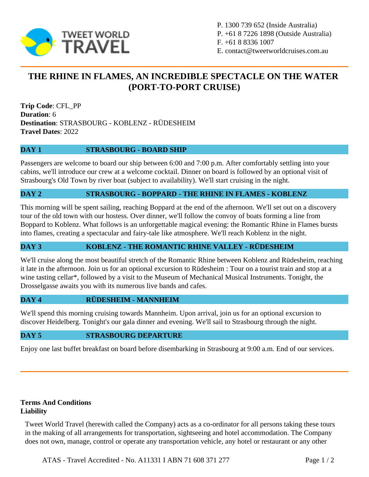

P. 1300 739 652 (Inside Australia) P. +61 8 7226 1898 (Outside Australia) F. +61 8 8336 1007 E. contact@tweetworldcruises.com.au

# **THE RHINE IN FLAMES, AN INCREDIBLE SPECTACLE ON THE WATER (PORT-TO-PORT CRUISE)**

**Trip Code**: CFL\_PP **Duration**: 6 **Destination**: STRASBOURG - KOBLENZ - RÜDESHEIM **Travel Dates**: 2022

## **DAY 1 STRASBOURG - BOARD SHIP**

Passengers are welcome to board our ship between 6:00 and 7:00 p.m. After comfortably settling into your cabins, we'll introduce our crew at a welcome cocktail. Dinner on board is followed by an optional visit of Strasbourg's Old Town by river boat (subject to availability). We'll start cruising in the night.

## **DAY 2 STRASBOURG - BOPPARD - THE RHINE IN FLAMES - KOBLENZ**

This morning will be spent sailing, reaching Boppard at the end of the afternoon. We'll set out on a discovery tour of the old town with our hostess. Over dinner, we'll follow the convoy of boats forming a line from Boppard to Koblenz. What follows is an unforgettable magical evening: the Romantic Rhine in Flames bursts into flames, creating a spectacular and fairy-tale like atmosphere. We'll reach Koblenz in the night.

## **DAY 3 KOBLENZ - THE ROMANTIC RHINE VALLEY - RÜDESHEIM**

We'll cruise along the most beautiful stretch of the Romantic Rhine between Koblenz and Rüdesheim, reaching it late in the afternoon. Join us for an optional excursion to Rüdesheim : Tour on a tourist train and stop at a wine tasting cellar\*, followed by a visit to the Museum of Mechanical Musical Instruments. Tonight, the Drosselgasse awaits you with its numerous live bands and cafes.

#### **DAY 4 RÜDESHEIM - MANNHEIM**

We'll spend this morning cruising towards Mannheim. Upon arrival, join us for an optional excursion to discover Heidelberg. Tonight's our gala dinner and evening. We'll sail to Strasbourg through the night.

#### **DAY 5 STRASBOURG DEPARTURE**

Enjoy one last buffet breakfast on board before disembarking in Strasbourg at 9:00 a.m. End of our services.

#### **Terms And Conditions Liability**

Tweet World Travel (herewith called the Company) acts as a co-ordinator for all persons taking these tours in the making of all arrangements for transportation, sightseeing and hotel accommodation. The Company does not own, manage, control or operate any transportation vehicle, any hotel or restaurant or any other